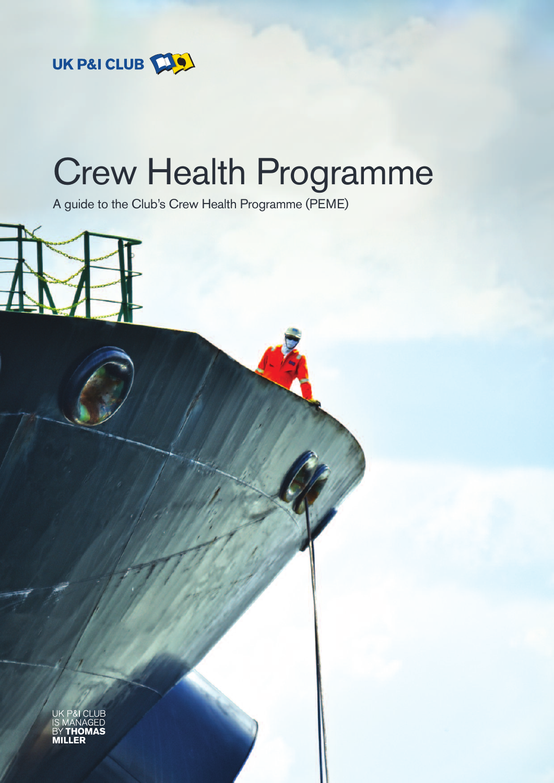

# Crew Health Programme

A guide to the Club's Crew Health Programme (PEME)



UF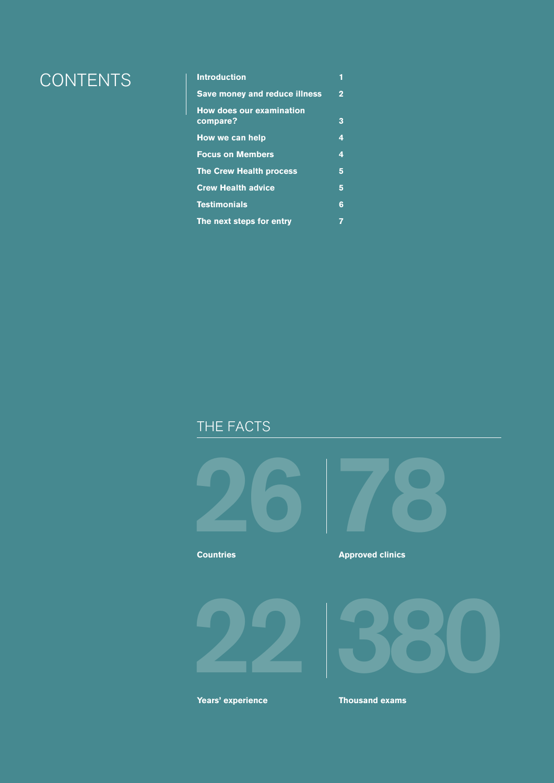## CONTENTS **Introduction <sup>1</sup>**

| <b>Save money and reduce illness</b>        | $\overline{2}$ |
|---------------------------------------------|----------------|
| <b>How does our examination</b><br>compare? | 3              |
| How we can help                             | 4              |
| <b>Focus on Members</b>                     | 4              |
| <b>The Crew Health process</b>              | 5              |
| <b>Crew Health advice</b>                   | 5              |
| <b>Testimonials</b>                         | 6              |
| The next steps for entry                    |                |

### THE FACTS





**Countries**

#### **Approved clinics**





**Years' experience Thousand exams**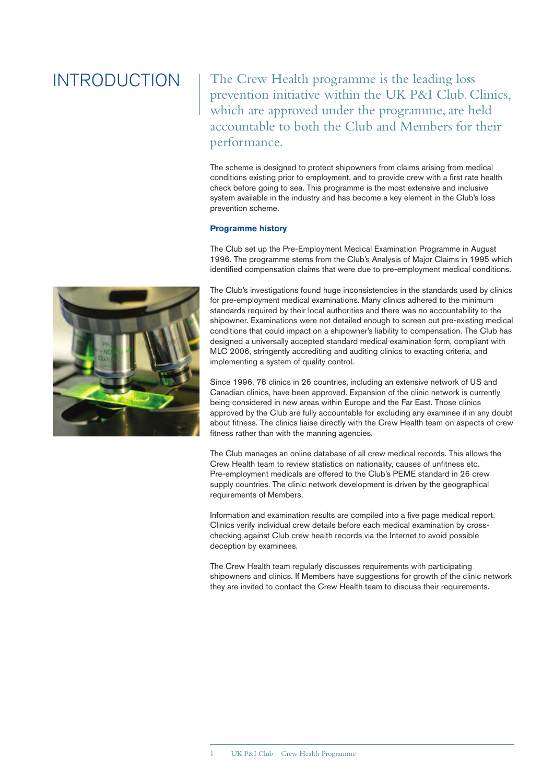### INTRODUCTION

The Crew Health programme is the leading loss prevention initiative within the UK P&I Club. Clinics, which are approved under the programme, are held accountable to both the Club and Members for their performance.

The scheme is designed to protect shipowners from claims arising from medical conditions existing prior to employment, and to provide crew with a first rate health check before going to sea. This programme is the most extensive and inclusive system available in the industry and has become a key element in the Club's loss prevention scheme.

#### **Programme history**

The Club set up the Pre-Employment Medical Examination Programme in August 1996. The programme stems from the Club's Analysis of Major Claims in 1995 which identified compensation claims that were due to pre-employment medical conditions.

The Club's investigations found huge inconsistencies in the standards used by clinics for pre-employment medical examinations. Many clinics adhered to the minimum standards required by their local authorities and there was no accountability to the shipowner. Examinations were not detailed enough to screen out pre-existing medical conditions that could impact on a shipowner's liability to compensation. The Club has designed a universally accepted standard medical examination form, compliant with MLC 2006, stringently accrediting and auditing clinics to exacting criteria, and implementing a system of quality control.

Since 1996, 78 clinics in 26 countries, including an extensive network of US and Canadian clinics, have been approved. Expansion of the clinic network is currently being considered in new areas within Europe and the Far East. Those clinics approved by the Club are fully accountable for excluding any examinee if in any doubt about fitness. The clinics liaise directly with the Crew Health team on aspects of crew fitness rather than with the manning agencies.

The Club manages an online database of all crew medical records. This allows the Crew Health team to review statistics on nationality, causes of unfitness etc. Pre-employment medicals are offered to the Club's PEME standard in 26 crew supply countries. The clinic network development is driven by the geographical requirements of Members.

Information and examination results are compiled into a five page medical report. Clinics verify individual crew details before each medical examination by crosschecking against Club crew health records via the Internet to avoid possible deception by examinees.

The Crew Health team regularly discusses requirements with participating shipowners and clinics. If Members have suggestions for growth of the clinic network they are invited to contact the Crew Health team to discuss their requirements.

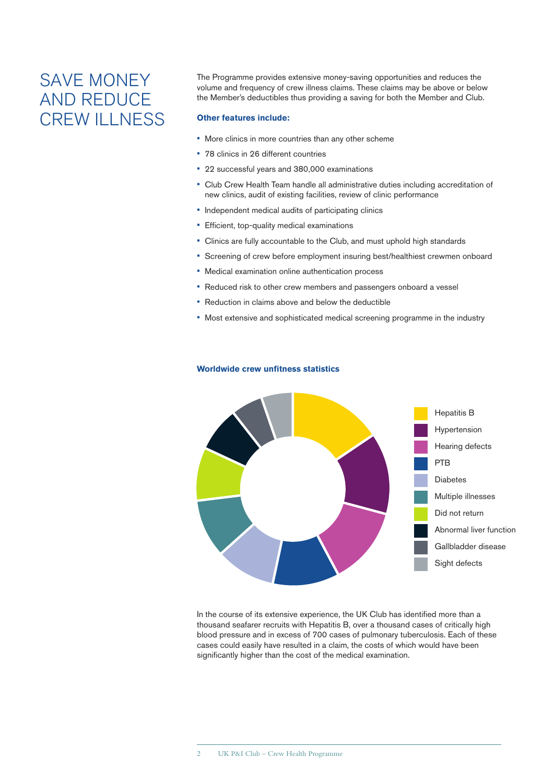### SAVE MONEY AND REDUCE CREW ILLNESS

The Programme provides extensive money-saving opportunities and reduces the volume and frequency of crew illness claims. These claims may be above or below the Member's deductibles thus providing a saving for both the Member and Club.

#### **Other features include:**

- More clinics in more countries than any other scheme
- 78 clinics in 26 different countries
- 22 successful years and 380,000 examinations
- Club Crew Health Team handle all administrative duties including accreditation of new clinics, audit of existing facilities, review of clinic performance
- Independent medical audits of participating clinics
- Efficient, top-quality medical examinations
- Clinics are fully accountable to the Club, and must uphold high standards
- Screening of crew before employment insuring best/healthiest crewmen onboard
- Medical examination online authentication process
- Reduced risk to other crew members and passengers onboard a vessel
- Reduction in claims above and below the deductible
- Most extensive and sophisticated medical screening programme in the industry



#### **Worldwide crew unfitness statistics**

In the course of its extensive experience, the UK Club has identified more than a thousand seafarer recruits with Hepatitis B, over a thousand cases of critically high blood pressure and in excess of 700 cases of pulmonary tuberculosis. Each of these cases could easily have resulted in a claim, the costs of which would have been significantly higher than the cost of the medical examination.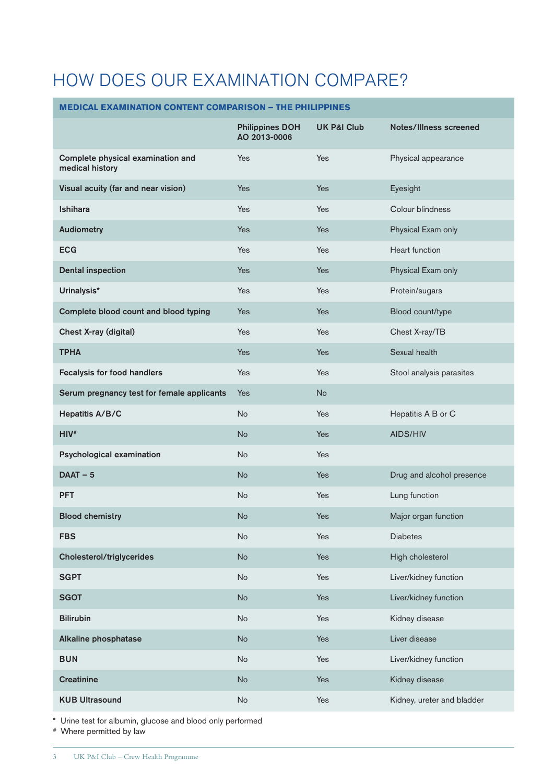## HOW DOES OUR EXAMINATION COMPARE?

### **MEDICAL EXAMINATION CONTENT COMPARISON – THE PHILIPPINES**

|                                                      | <b>Philippines DOH</b><br>AO 2013-0006 | <b>UK P&amp;I Club</b> | <b>Notes/Illness screened</b> |
|------------------------------------------------------|----------------------------------------|------------------------|-------------------------------|
| Complete physical examination and<br>medical history | Yes                                    | Yes                    | Physical appearance           |
| Visual acuity (far and near vision)                  | Yes                                    | <b>Yes</b>             | Eyesight                      |
| Ishihara                                             | Yes                                    | Yes                    | Colour blindness              |
| <b>Audiometry</b>                                    | <b>Yes</b>                             | <b>Yes</b>             | Physical Exam only            |
| <b>ECG</b>                                           | Yes                                    | Yes                    | <b>Heart function</b>         |
| <b>Dental inspection</b>                             | Yes                                    | <b>Yes</b>             | Physical Exam only            |
| Urinalysis*                                          | Yes                                    | Yes                    | Protein/sugars                |
| Complete blood count and blood typing                | Yes                                    | <b>Yes</b>             | Blood count/type              |
| Chest X-ray (digital)                                | Yes                                    | Yes                    | Chest X-ray/TB                |
| <b>TPHA</b>                                          | <b>Yes</b>                             | <b>Yes</b>             | Sexual health                 |
| Fecalysis for food handlers                          | Yes                                    | Yes                    | Stool analysis parasites      |
| Serum pregnancy test for female applicants           | <b>Yes</b>                             | <b>No</b>              |                               |
| Hepatitis A/B/C                                      | <b>No</b>                              | Yes                    | Hepatitis A B or C            |
| $HIV*$                                               | <b>No</b>                              | <b>Yes</b>             | AIDS/HIV                      |
| Psychological examination                            | No                                     | Yes                    |                               |
| $DAAT - 5$                                           | <b>No</b>                              | <b>Yes</b>             | Drug and alcohol presence     |
| <b>PFT</b>                                           | No                                     | Yes                    | Lung function                 |
| <b>Blood chemistry</b>                               | <b>No</b>                              | <b>Yes</b>             | Major organ function          |
| <b>FBS</b>                                           | No                                     | Yes                    | <b>Diabetes</b>               |
| <b>Cholesterol/triglycerides</b>                     | No                                     | Yes                    | High cholesterol              |
| <b>SGPT</b>                                          | <b>No</b>                              | Yes                    | Liver/kidney function         |
| <b>SGOT</b>                                          | No                                     | Yes                    | Liver/kidney function         |
| <b>Bilirubin</b>                                     | <b>No</b>                              | Yes                    | Kidney disease                |
| Alkaline phosphatase                                 | No                                     | Yes                    | Liver disease                 |
| <b>BUN</b>                                           | No                                     | Yes                    | Liver/kidney function         |
| <b>Creatinine</b>                                    | No                                     | Yes                    | Kidney disease                |
| <b>KUB Ultrasound</b>                                | No                                     | Yes                    | Kidney, ureter and bladder    |

\* Urine test for albumin, glucose and blood only performed

# Where permitted by law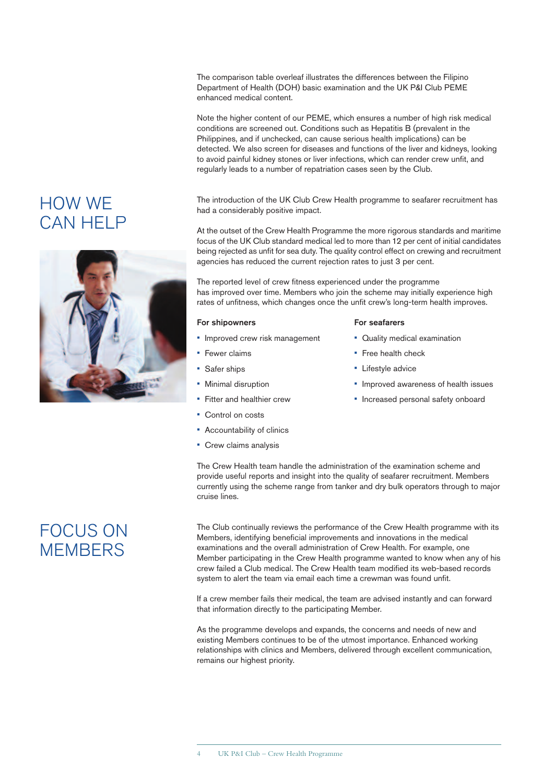The comparison table overleaf illustrates the differences between the Filipino Department of Health (DOH) basic examination and the UK P&I Club PEME enhanced medical content.

Note the higher content of our PEME, which ensures a number of high risk medical conditions are screened out. Conditions such as Hepatitis B (prevalent in the Philippines, and if unchecked, can cause serious health implications) can be detected. We also screen for diseases and functions of the liver and kidneys, looking to avoid painful kidney stones or liver infections, which can render crew unfit, and regularly leads to a number of repatriation cases seen by the Club.

The introduction of the UK Club Crew Health programme to seafarer recruitment has had a considerably positive impact.

At the outset of the Crew Health Programme the more rigorous standards and maritime focus of the UK Club standard medical led to more than 12 per cent of initial candidates being rejected as unfit for sea duty. The quality control effect on crewing and recruitment agencies has reduced the current rejection rates to just 3 per cent.

The reported level of crew fitness experienced under the programme has improved over time. Members who join the scheme may initially experience high rates of unfitness, which changes once the unfit crew's long-term health improves.

#### For shipowners

- **Improved crew risk management**
- Fewer claims
- Safer ships
- Minimal disruption
- Fitter and healthier crew
- Control on costs
- Accountability of clinics
- Crew claims analysis

#### For seafarers

- Quality medical examination
- Free health check
- Lifestyle advice
- Improved awareness of health issues
- Increased personal safety onboard

## FOCUS ON **MEMBERS**

HOW WE

CAN HELP

The Club continually reviews the performance of the Crew Health programme with its Members, identifying beneficial improvements and innovations in the medical examinations and the overall administration of Crew Health. For example, one Member participating in the Crew Health programme wanted to know when any of his crew failed a Club medical. The Crew Health team modified its web-based records system to alert the team via email each time a crewman was found unfit.

The Crew Health team handle the administration of the examination scheme and provide useful reports and insight into the quality of seafarer recruitment. Members currently using the scheme range from tanker and dry bulk operators through to major

If a crew member fails their medical, the team are advised instantly and can forward that information directly to the participating Member.

As the programme develops and expands, the concerns and needs of new and existing Members continues to be of the utmost importance. Enhanced working relationships with clinics and Members, delivered through excellent communication, remains our highest priority.

- 
- 

cruise lines.

- 
-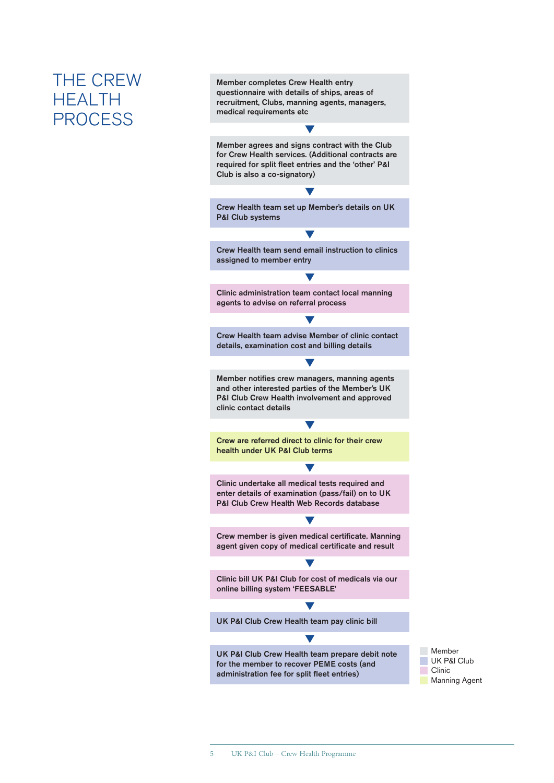### THE CREW **HEALTH PROCESS**

Member completes Crew Health entry questionnaire with details of ships, areas of recruitment, Clubs, manning agents, managers, medical requirements etc

Member agrees and signs contract with the Club for Crew Health services. (Additional contracts are required for split fleet entries and the 'other' P&I Club is also a co-signatory)

Crew Health team set up Member's details on UK P&I Club systems

Crew Health team send email instruction to clinics assigned to member entry

Clinic administration team contact local manning agents to advise on referral process

Crew Health team advise Member of clinic contact details, examination cost and billing details

Member notifies crew managers, manning agents and other interested parties of the Member's UK P&I Club Crew Health involvement and approved clinic contact details

Crew are referred direct to clinic for their crew health under UK P&I Club terms

Clinic undertake all medical tests required and enter details of examination (pass/fail) on to UK P&I Club Crew Health Web Records database

Crew member is given medical certificate. Manning agent given copy of medical certificate and result

Clinic bill UK P&I Club for cost of medicals via our online billing system 'FEESABLE'

UK P&I Club Crew Health team pay clinic bill

UK P&I Club Crew Health team prepare debit note for the member to recover PEME costs (and administration fee for split fleet entries)

**Member** UK P&I Club Clinic **Manning Agent**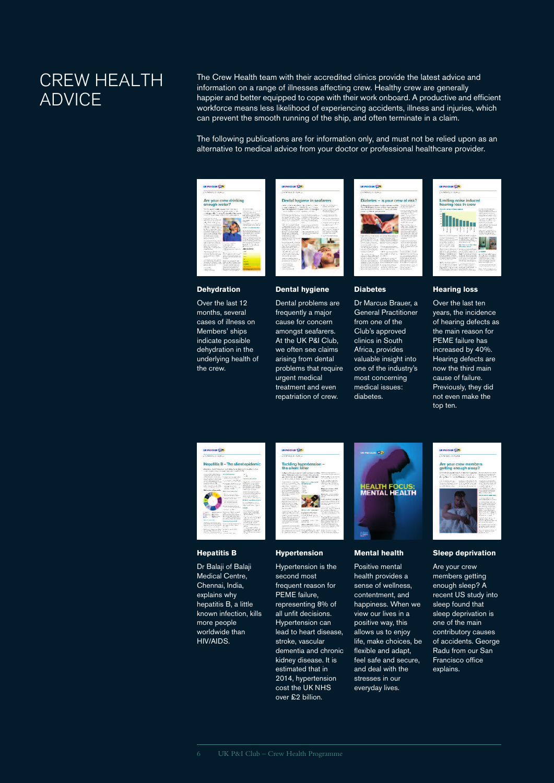### CREW HEALTH ADVICE

The Crew Health team with their accredited clinics provide the latest advice and information on a range of illnesses affecting crew. Healthy crew are generally happier and better equipped to cope with their work onboard. A productive and efficient workforce means less likelihood of experiencing accidents, illness and injuries, which can prevent the smooth running of the ship, and often terminate in a claim.

The following publications are for information only, and must not be relied upon as an alternative to medical advice from your doctor or professional healthcare provider.



#### **Dehydration**

Over the last 12 months, several cases of illness on Members' ships indicate possible dehydration in the underlying health of the crew.



#### **Dental hygiene**

Dental problems are frequently a major cause for concern amongst seafarers. At the UK P&I Club, we often see claims arising from dental problems that require urgent medical treatment and even repatriation of crew.



#### **Diabetes**

Dr Marcus Brauer, a General Practitioner from one of the Club's approved clinics in South Africa, provides valuable insight into one of the industry's most concerning medical issues: diabetes.



#### **Hearing loss**

Over the last ten years, the incidence of hearing defects as the main reason for PEME failure has increased by 40%. Hearing defects are now the third main cause of failure. Previously, they did not even make the top ten.



#### **Hepatitis B**

Dr Balaji of Balaji Medical Centre, Chennai, India, explains why hepatitis B, a little known infection, kills more people worldwide than HIV/AIDS.



#### **Hypertension**

Hypertension is the second most frequent reason for PEME failure, representing 8% of all unfit decisions. Hypertension can lead to heart disease, stroke, vascular dementia and chronic kidney disease. It is estimated that in 2014, hypertension cost the UK NHS over £2 billion.



#### **Mental health**

Positive mental health provides a sense of wellness, contentment, and happiness. When we view our lives in a positive way, this allows us to enjoy life, make choices, be flexible and adapt, feel safe and secure, and deal with the stresses in our everyday lives.



#### **Sleep deprivation**

Are your crew members getting enough sleep? A recent US study into sleep found that sleep deprivation is one of the main contributory causes of accidents. George Radu from our San Francisco office **explains**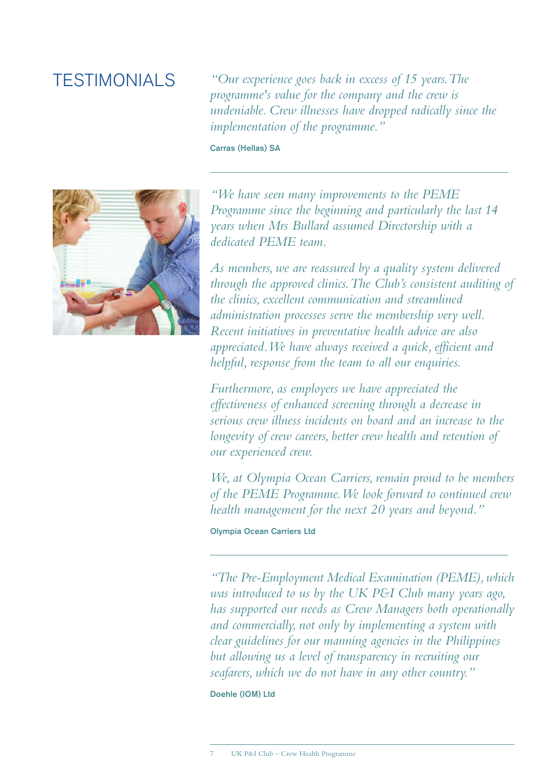### TESTIMONIALS

*"Our experience goes back in excess of 15 years.The programme's value for the company and the crew is undeniable. Crew illnesses have dropped radically since the implementation of the programme."*

Carras (Hellas) SA



*"We have seen many improvements to the PEME Programme since the beginning and particularly the last 14 years when Mrs Bullard assumed Directorship with a dedicated PEME team.*

*As members, we are reassured by a quality system delivered through the approved clinics.The Club's consistent auditing of the clinics, excellent communication and streamlined administration processes serve the membership very well. Recent initiatives in preventative health advice are also appreciated.We have always received a quick, efficient and helpful, response from the team to all our enquiries.*

*Furthermore, as employers we have appreciated the effectiveness of enhanced screening through a decrease in serious crew illness incidents on board and an increase to the longevity of crew careers, better crew health and retention of our experienced crew.*

*We, at Olympia Ocean Carriers, remain proud to be members of the PEME Programme.We look forward to continued crew health management for the next 20 years and beyond."*

#### Olympia Ocean Carriers Ltd

*"The Pre-Employment Medical Examination (PEME),which was introduced to us by the UK P&I Club many years ago, has supported our needs as Crew Managers both operationally and commercially, not only by implementing a system with clear guidelines for our manning agencies in the Philippines but allowing us a level of transparency in recruiting our seafarers, which we do not have in any other country."*

Doehle (IOM) Ltd

7 UK P&I Club – Crew Health Programme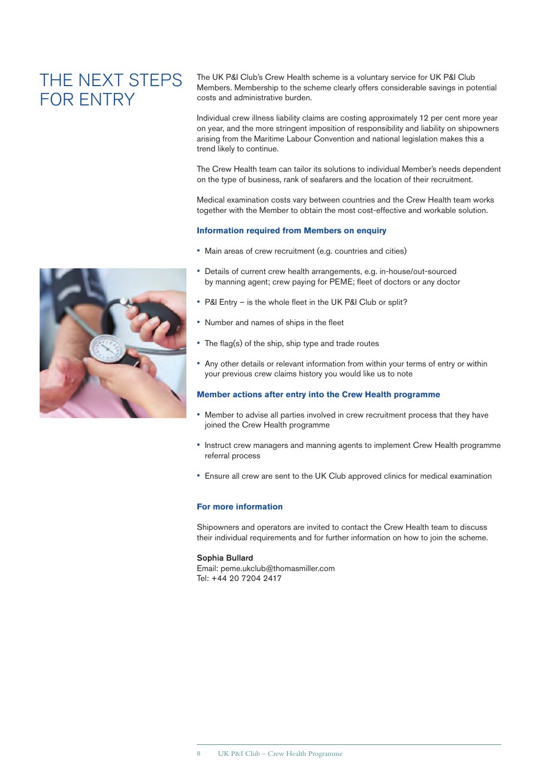### THE NEXT STEPS FOR ENTRY

The UK P&I Club's Crew Health scheme is a voluntary service for UK P&I Club Members. Membership to the scheme clearly offers considerable savings in potential costs and administrative burden.

Individual crew illness liability claims are costing approximately 12 per cent more year on year, and the more stringent imposition of responsibility and liability on shipowners arising from the Maritime Labour Convention and national legislation makes this a trend likely to continue.

The Crew Health team can tailor its solutions to individual Member's needs dependent on the type of business, rank of seafarers and the location of their recruitment.

Medical examination costs vary between countries and the Crew Health team works together with the Member to obtain the most cost-effective and workable solution.

#### **Information required from Members on enquiry**

- Main areas of crew recruitment (e.g. countries and cities)
- Details of current crew health arrangements, e.g. in-house/out-sourced by manning agent; crew paying for PEME; fleet of doctors or any doctor
- P&I Entry is the whole fleet in the UK P&I Club or split?
- Number and names of ships in the fleet
- The flag(s) of the ship, ship type and trade routes
- Any other details or relevant information from within your terms of entry or within your previous crew claims history you would like us to note

#### **Member actions after entry into the Crew Health programme**

- Member to advise all parties involved in crew recruitment process that they have joined the Crew Health programme
- Instruct crew managers and manning agents to implement Crew Health programme referral process
- Ensure all crew are sent to the UK Club approved clinics for medical examination

#### **For more information**

Shipowners and operators are invited to contact the Crew Health team to discuss their individual requirements and for further information on how to join the scheme.

#### Sophia Bullard

Email: peme.ukclub@thomasmiller.com Tel: +44 20 7204 2417

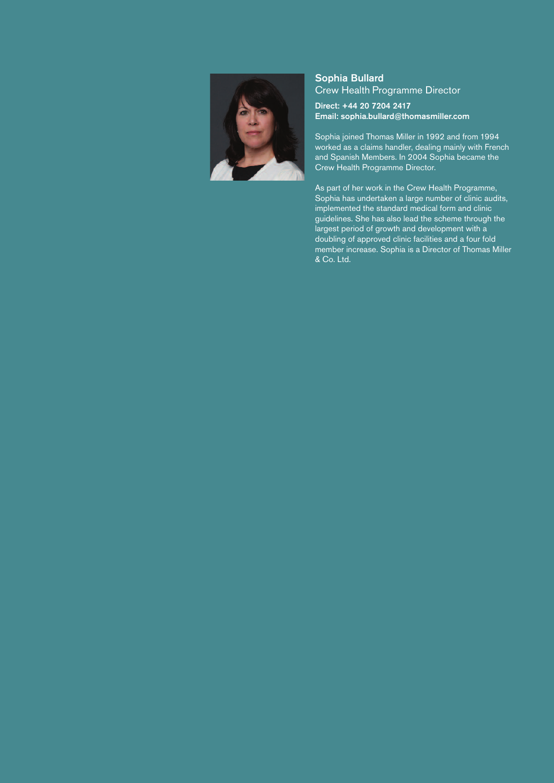

#### Sophia Bullard Crew Health Programme Director

Direct: +44 20 7204 2417 Email: sophia.bullard@thomasmiller.com

Sophia joined Thomas Miller in 1992 and from 1994 worked as a claims handler, dealing mainly with French and Spanish Members. In 2004 Sophia became the Crew Health Programme Director.

As part of her work in the Crew Health Programme, Sophia has undertaken a large number of clinic audits, implemented the standard medical form and clinic guidelines. She has also lead the scheme through the largest period of growth and development with a doubling of approved clinic facilities and a four fold member increase. Sophia is a Director of Thomas Miller & Co. Ltd.